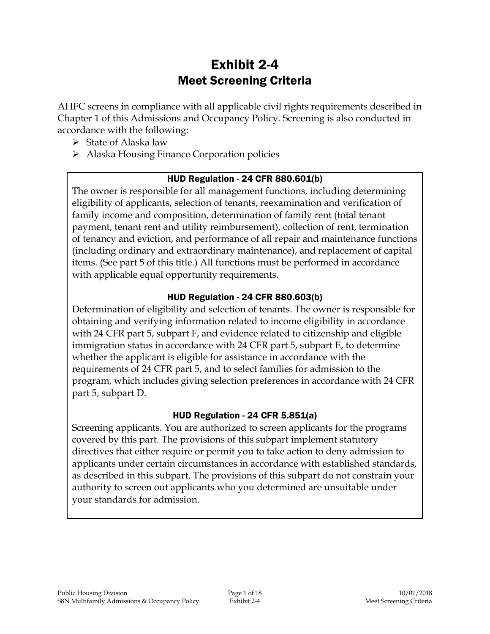# Exhibit 2-4 Meet Screening Criteria

AHFC screens in compliance with all applicable civil rights requirements described in Chapter 1 of this Admissions and Occupancy Policy. Screening is also conducted in accordance with the following:

- $\triangleright$  State of Alaska law
- > Alaska Housing Finance Corporation policies

#### HUD Regulation - 24 CFR 880.601(b)

The owner is responsible for all management functions, including determining eligibility of applicants, selection of tenants, reexamination and verification of family income and composition, determination of family rent (total tenant payment, tenant rent and utility reimbursement), collection of rent, termination of tenancy and eviction, and performance of all repair and maintenance functions (including ordinary and extraordinary maintenance), and replacement of capital items. (See part 5 of this title.) All functions must be performed in accordance with applicable equal opportunity requirements.

#### HUD Regulation - 24 CFR 880.603(b)

Determination of eligibility and selection of tenants. The owner is responsible for obtaining and verifying information related to income eligibility in accordance with 24 CFR part 5, subpart F, and evidence related to citizenship and eligible immigration status in accordance with 24 CFR part 5, subpart E, to determine whether the applicant is eligible for assistance in accordance with the requirements of 24 CFR part 5, and to select families for admission to the program, which includes giving selection preferences in accordance with 24 CFR part 5, subpart D.

#### HUD Regulation - 24 CFR 5.851(a)

Screening applicants. You are authorized to screen applicants for the programs covered by this part. The provisions of this subpart implement statutory directives that either require or permit you to take action to deny admission to applicants under certain circumstances in accordance with established standards, as described in this subpart. The provisions of this subpart do not constrain your authority to screen out applicants who you determined are unsuitable under your standards for admission.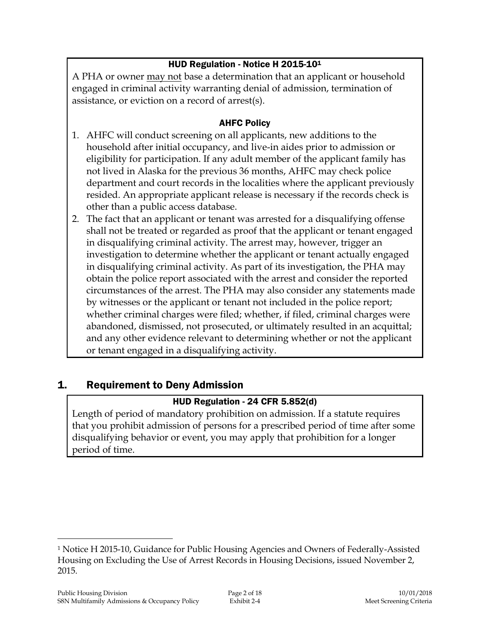## HUD Regulation - Notice H 2015-10<sup>1</sup>

A PHA or owner may not base a determination that an applicant or household engaged in criminal activity warranting denial of admission, termination of assistance, or eviction on a record of arrest(s).

#### AHFC Policy

- 1. AHFC will conduct screening on all applicants, new additions to the household after initial occupancy, and live-in aides prior to admission or eligibility for participation. If any adult member of the applicant family has not lived in Alaska for the previous 36 months, AHFC may check police department and court records in the localities where the applicant previously resided. An appropriate applicant release is necessary if the records check is other than a public access database.
- 2. The fact that an applicant or tenant was arrested for a disqualifying offense shall not be treated or regarded as proof that the applicant or tenant engaged in disqualifying criminal activity. The arrest may, however, trigger an investigation to determine whether the applicant or tenant actually engaged in disqualifying criminal activity. As part of its investigation, the PHA may obtain the police report associated with the arrest and consider the reported circumstances of the arrest. The PHA may also consider any statements made by witnesses or the applicant or tenant not included in the police report; whether criminal charges were filed; whether, if filed, criminal charges were abandoned, dismissed, not prosecuted, or ultimately resulted in an acquittal; and any other evidence relevant to determining whether or not the applicant or tenant engaged in a disqualifying activity.

## 1. Requirement to Deny Admission

## HUD Regulation - 24 CFR 5.852(d)

Length of period of mandatory prohibition on admission. If a statute requires that you prohibit admission of persons for a prescribed period of time after some disqualifying behavior or event, you may apply that prohibition for a longer period of time.

<sup>1</sup> Notice H 2015-10, Guidance for Public Housing Agencies and Owners of Federally-Assisted Housing on Excluding the Use of Arrest Records in Housing Decisions, issued November 2, 2015.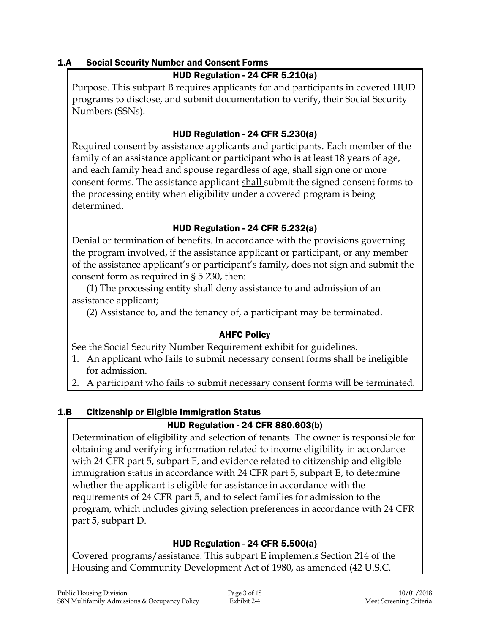### 1.A Social Security Number and Consent Forms

## HUD Regulation - 24 CFR 5.210(a)

Purpose. This subpart B requires applicants for and participants in covered HUD programs to disclose, and submit documentation to verify, their Social Security Numbers (SSNs).

### HUD Regulation - 24 CFR 5.230(a)

Required consent by assistance applicants and participants. Each member of the family of an assistance applicant or participant who is at least 18 years of age, and each family head and spouse regardless of age, shall sign one or more consent forms. The assistance applicant shall submit the signed consent forms to the processing entity when eligibility under a covered program is being determined.

### HUD Regulation - 24 CFR 5.232(a)

Denial or termination of benefits. In accordance with the provisions governing the program involved, if the assistance applicant or participant, or any member of the assistance applicant's or participant's family, does not sign and submit the consent form as required in § 5.230, then:

(1) The processing entity shall deny assistance to and admission of an assistance applicant;

(2) Assistance to, and the tenancy of, a participant may be terminated.

## AHFC Policy

See the Social Security Number Requirement exhibit for guidelines.

- 1. An applicant who fails to submit necessary consent forms shall be ineligible for admission.
- 2. A participant who fails to submit necessary consent forms will be terminated.

## 1.B Citizenship or Eligible Immigration Status

## HUD Regulation - 24 CFR 880.603(b)

Determination of eligibility and selection of tenants. The owner is responsible for obtaining and verifying information related to income eligibility in accordance with 24 CFR part 5, subpart F, and evidence related to citizenship and eligible immigration status in accordance with 24 CFR part 5, subpart E, to determine whether the applicant is eligible for assistance in accordance with the requirements of 24 CFR part 5, and to select families for admission to the program, which includes giving selection preferences in accordance with 24 CFR part 5, subpart D.

## HUD Regulation - 24 CFR 5.500(a)

Covered programs/assistance. This subpart E implements Section 214 of the Housing and Community Development Act of 1980, as amended (42 U.S.C.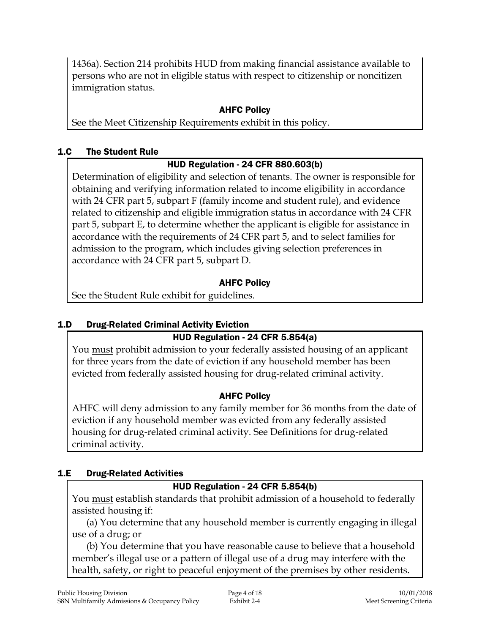1436a). Section 214 prohibits HUD from making financial assistance available to persons who are not in eligible status with respect to citizenship or noncitizen immigration status.

## AHFC Policy

See the Meet Citizenship Requirements exhibit in this policy.

## 1.C The Student Rule

## HUD Regulation - 24 CFR 880.603(b)

Determination of eligibility and selection of tenants. The owner is responsible for obtaining and verifying information related to income eligibility in accordance with 24 CFR part 5, subpart F (family income and student rule), and evidence related to citizenship and eligible immigration status in accordance with 24 CFR part 5, subpart E, to determine whether the applicant is eligible for assistance in accordance with the requirements of 24 CFR part 5, and to select families for admission to the program, which includes giving selection preferences in accordance with 24 CFR part 5, subpart D.

## AHFC Policy

See the Student Rule exhibit for guidelines.

## 1.D Drug-Related Criminal Activity Eviction

## HUD Regulation - 24 CFR 5.854(a)

You must prohibit admission to your federally assisted housing of an applicant for three years from the date of eviction if any household member has been evicted from federally assisted housing for drug-related criminal activity.

## AHFC Policy

AHFC will deny admission to any family member for 36 months from the date of eviction if any household member was evicted from any federally assisted housing for drug-related criminal activity. See Definitions for drug-related criminal activity.

## 1.E Drug-Related Activities

## HUD Regulation - 24 CFR 5.854(b)

You must establish standards that prohibit admission of a household to federally assisted housing if:

(a) You determine that any household member is currently engaging in illegal use of a drug; or

(b) You determine that you have reasonable cause to believe that a household member's illegal use or a pattern of illegal use of a drug may interfere with the health, safety, or right to peaceful enjoyment of the premises by other residents.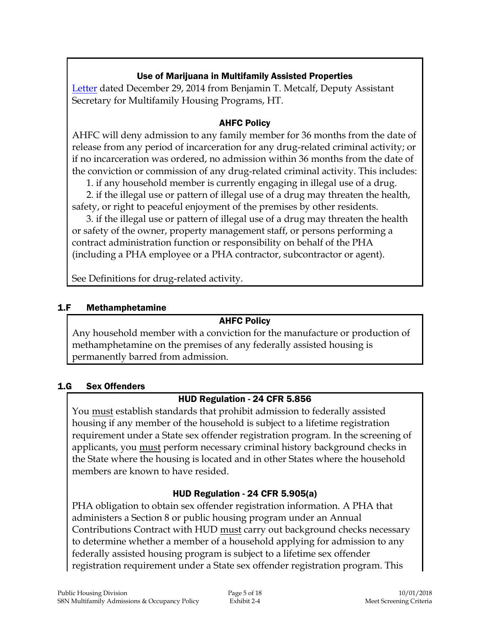## Use of Marijuana in Multifamily Assisted Properties

[Letter](MarijuanaMF_122914.pdf) dated December 29, 2014 from Benjamin T. Metcalf, Deputy Assistant Secretary for Multifamily Housing Programs, HT.

#### AHFC Policy

AHFC will deny admission to any family member for 36 months from the date of release from any period of incarceration for any drug-related criminal activity; or if no incarceration was ordered, no admission within 36 months from the date of the conviction or commission of any drug-related criminal activity. This includes:

1. if any household member is currently engaging in illegal use of a drug.

2. if the illegal use or pattern of illegal use of a drug may threaten the health, safety, or right to peaceful enjoyment of the premises by other residents.

3. if the illegal use or pattern of illegal use of a drug may threaten the health or safety of the owner, property management staff, or persons performing a contract administration function or responsibility on behalf of the PHA (including a PHA employee or a PHA contractor, subcontractor or agent).

See Definitions for drug-related activity.

#### 1.F Methamphetamine

#### AHFC Policy

Any household member with a conviction for the manufacture or production of methamphetamine on the premises of any federally assisted housing is permanently barred from admission.

#### 1.G Sex Offenders

#### HUD Regulation - 24 CFR 5.856

You must establish standards that prohibit admission to federally assisted housing if any member of the household is subject to a lifetime registration requirement under a State sex offender registration program. In the screening of applicants, you must perform necessary criminal history background checks in the State where the housing is located and in other States where the household members are known to have resided.

## HUD Regulation - 24 CFR 5.905(a)

PHA obligation to obtain sex offender registration information. A PHA that administers a Section 8 or public housing program under an Annual Contributions Contract with HUD must carry out background checks necessary to determine whether a member of a household applying for admission to any federally assisted housing program is subject to a lifetime sex offender registration requirement under a State sex offender registration program. This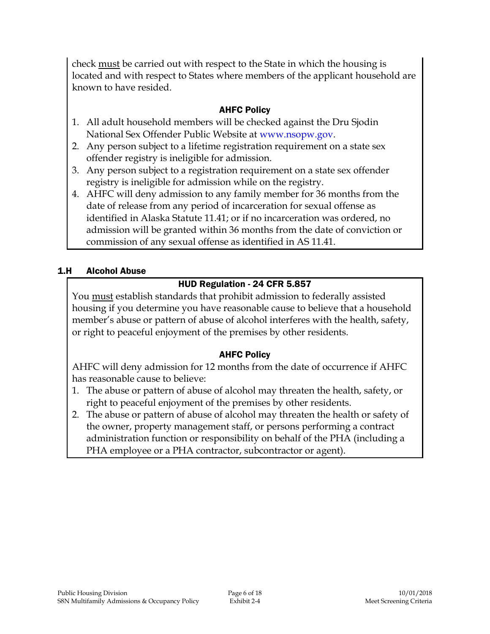check must be carried out with respect to the State in which the housing is located and with respect to States where members of the applicant household are known to have resided.

## AHFC Policy

- 1. All adult household members will be checked against the Dru Sjodin National Sex Offender Public Website at [www.nsopw.gov.](http://www.nsopw.gov/)
- 2. Any person subject to a lifetime registration requirement on a state sex offender registry is ineligible for admission.
- 3. Any person subject to a registration requirement on a state sex offender registry is ineligible for admission while on the registry.
- 4. AHFC will deny admission to any family member for 36 months from the date of release from any period of incarceration for sexual offense as identified in Alaska Statute 11.41; or if no incarceration was ordered, no admission will be granted within 36 months from the date of conviction or commission of any sexual offense as identified in AS 11.41.

### 1.H Alcohol Abuse

## HUD Regulation - 24 CFR 5.857

You must establish standards that prohibit admission to federally assisted housing if you determine you have reasonable cause to believe that a household member's abuse or pattern of abuse of alcohol interferes with the health, safety, or right to peaceful enjoyment of the premises by other residents.

#### AHFC Policy

AHFC will deny admission for 12 months from the date of occurrence if AHFC has reasonable cause to believe:

- 1. The abuse or pattern of abuse of alcohol may threaten the health, safety, or right to peaceful enjoyment of the premises by other residents.
- 2. The abuse or pattern of abuse of alcohol may threaten the health or safety of the owner, property management staff, or persons performing a contract administration function or responsibility on behalf of the PHA (including a PHA employee or a PHA contractor, subcontractor or agent).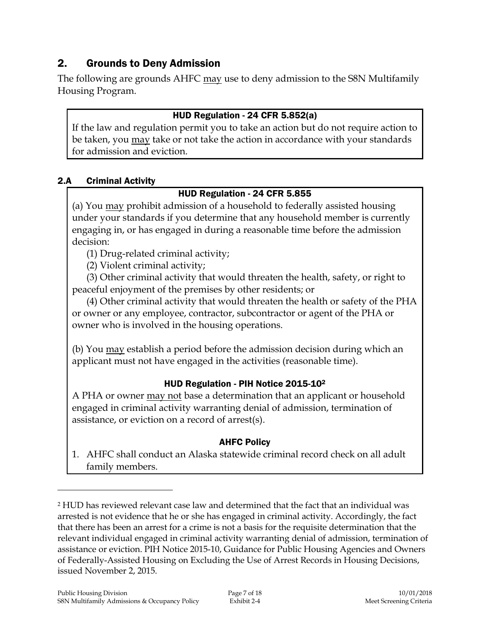## 2. Grounds to Deny Admission

The following are grounds AHFC may use to deny admission to the S8N Multifamily Housing Program.

### HUD Regulation - 24 CFR 5.852(a)

If the law and regulation permit you to take an action but do not require action to be taken, you may take or not take the action in accordance with your standards for admission and eviction.

### 2.A Criminal Activity

## HUD Regulation - 24 CFR 5.855

(a) You may prohibit admission of a household to federally assisted housing under your standards if you determine that any household member is currently engaging in, or has engaged in during a reasonable time before the admission decision:

(1) Drug-related criminal activity;

(2) Violent criminal activity;

(3) Other criminal activity that would threaten the health, safety, or right to peaceful enjoyment of the premises by other residents; or

(4) Other criminal activity that would threaten the health or safety of the PHA or owner or any employee, contractor, subcontractor or agent of the PHA or owner who is involved in the housing operations.

(b) You may establish a period before the admission decision during which an applicant must not have engaged in the activities (reasonable time).

## HUD Regulation - PIH Notice 2015-10<sup>2</sup>

A PHA or owner may not base a determination that an applicant or household engaged in criminal activity warranting denial of admission, termination of assistance, or eviction on a record of arrest(s).

#### AHFC Policy

1. AHFC shall conduct an Alaska statewide criminal record check on all adult family members.

<sup>2</sup> HUD has reviewed relevant case law and determined that the fact that an individual was arrested is not evidence that he or she has engaged in criminal activity. Accordingly, the fact that there has been an arrest for a crime is not a basis for the requisite determination that the relevant individual engaged in criminal activity warranting denial of admission, termination of assistance or eviction. PIH Notice 2015-10, Guidance for Public Housing Agencies and Owners of Federally-Assisted Housing on Excluding the Use of Arrest Records in Housing Decisions, issued November 2, 2015.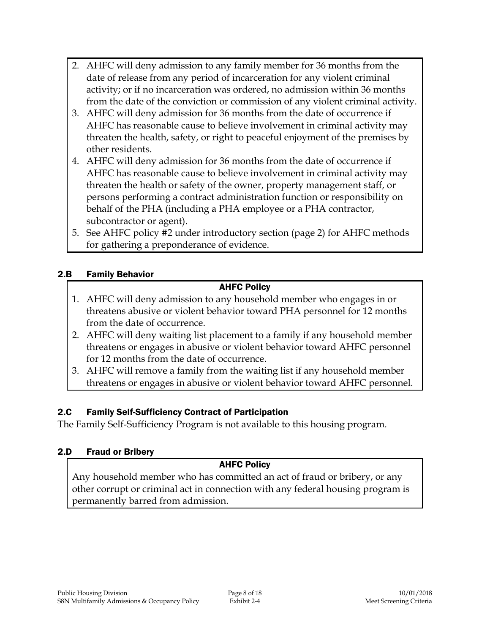- 2. AHFC will deny admission to any family member for 36 months from the date of release from any period of incarceration for any violent criminal activity; or if no incarceration was ordered, no admission within 36 months from the date of the conviction or commission of any violent criminal activity.
- 3. AHFC will deny admission for 36 months from the date of occurrence if AHFC has reasonable cause to believe involvement in criminal activity may threaten the health, safety, or right to peaceful enjoyment of the premises by other residents.
- 4. AHFC will deny admission for 36 months from the date of occurrence if AHFC has reasonable cause to believe involvement in criminal activity may threaten the health or safety of the owner, property management staff, or persons performing a contract administration function or responsibility on behalf of the PHA (including a PHA employee or a PHA contractor, subcontractor or agent).
- 5. See AHFC policy #2 under introductory section (page 2) for AHFC methods for gathering a preponderance of evidence.

### 2.B Family Behavior

#### AHFC Policy

- 1. AHFC will deny admission to any household member who engages in or threatens abusive or violent behavior toward PHA personnel for 12 months from the date of occurrence.
- 2. AHFC will deny waiting list placement to a family if any household member threatens or engages in abusive or violent behavior toward AHFC personnel for 12 months from the date of occurrence.
- 3. AHFC will remove a family from the waiting list if any household member threatens or engages in abusive or violent behavior toward AHFC personnel.

#### 2.C Family Self-Sufficiency Contract of Participation

The Family Self-Sufficiency Program is not available to this housing program.

#### 2.D Fraud or Bribery

## AHFC Policy

Any household member who has committed an act of fraud or bribery, or any other corrupt or criminal act in connection with any federal housing program is permanently barred from admission.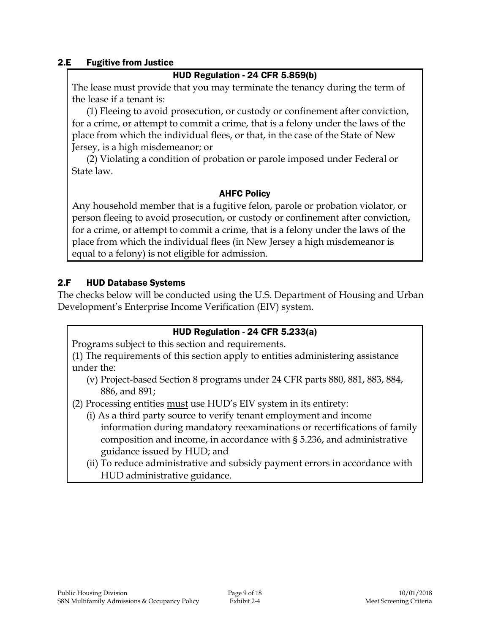#### 2.E Fugitive from Justice

#### HUD Regulation - 24 CFR 5.859(b)

The lease must provide that you may terminate the tenancy during the term of the lease if a tenant is:

(1) Fleeing to avoid prosecution, or custody or confinement after conviction, for a crime, or attempt to commit a crime, that is a felony under the laws of the place from which the individual flees, or that, in the case of the State of New Jersey, is a high misdemeanor; or

(2) Violating a condition of probation or parole imposed under Federal or State law.

#### AHFC Policy

Any household member that is a fugitive felon, parole or probation violator, or person fleeing to avoid prosecution, or custody or confinement after conviction, for a crime, or attempt to commit a crime, that is a felony under the laws of the place from which the individual flees (in New Jersey a high misdemeanor is equal to a felony) is not eligible for admission.

#### 2.F HUD Database Systems

The checks below will be conducted using the U.S. Department of Housing and Urban Development's Enterprise Income Verification (EIV) system.

#### HUD Regulation - 24 CFR 5.233(a)

Programs subject to this section and requirements.

(1) The requirements of this section apply to entities administering assistance under the:

- (v) Project-based Section 8 programs under 24 CFR parts 880, 881, 883, 884, 886, and 891;
- (2) Processing entities must use HUD's EIV system in its entirety:
	- (i) As a third party source to verify tenant employment and income information during mandatory reexaminations or recertifications of family composition and income, in accordance with § 5.236, and administrative guidance issued by HUD; and
	- (ii) To reduce administrative and subsidy payment errors in accordance with HUD administrative guidance.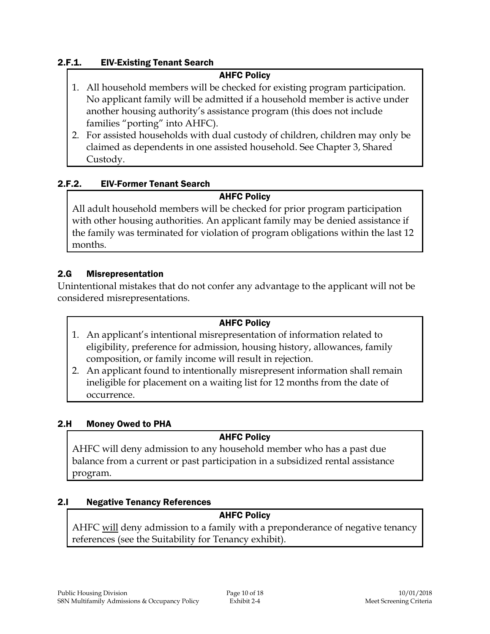#### 2.F.1. EIV-Existing Tenant Search

#### AHFC Policy

- 1. All household members will be checked for existing program participation. No applicant family will be admitted if a household member is active under another housing authority's assistance program (this does not include families "porting" into AHFC).
- 2. For assisted households with dual custody of children, children may only be claimed as dependents in one assisted household. See Chapter 3, Shared Custody.

#### 2.F.2. EIV-Former Tenant Search

#### AHFC Policy

All adult household members will be checked for prior program participation with other housing authorities. An applicant family may be denied assistance if the family was terminated for violation of program obligations within the last 12 months.

#### 2.G Misrepresentation

Unintentional mistakes that do not confer any advantage to the applicant will not be considered misrepresentations.

#### AHFC Policy

- 1. An applicant's intentional misrepresentation of information related to eligibility, preference for admission, housing history, allowances, family composition, or family income will result in rejection.
- 2. An applicant found to intentionally misrepresent information shall remain ineligible for placement on a waiting list for 12 months from the date of occurrence.

#### 2.H Money Owed to PHA

#### AHFC Policy

AHFC will deny admission to any household member who has a past due balance from a current or past participation in a subsidized rental assistance program.

#### 2.I Negative Tenancy References

### AHFC Policy

AHFC will deny admission to a family with a preponderance of negative tenancy references (see the Suitability for Tenancy exhibit).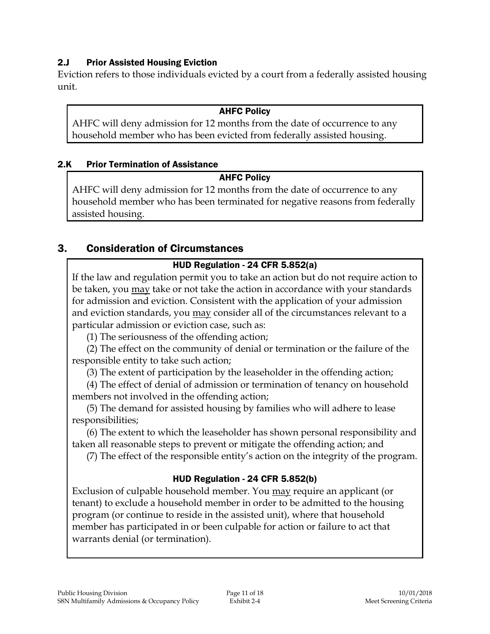### 2.J Prior Assisted Housing Eviction

Eviction refers to those individuals evicted by a court from a federally assisted housing unit.

#### AHFC Policy

AHFC will deny admission for 12 months from the date of occurrence to any household member who has been evicted from federally assisted housing.

#### 2.K Prior Termination of Assistance

### AHFC Policy

AHFC will deny admission for 12 months from the date of occurrence to any household member who has been terminated for negative reasons from federally assisted housing.

## 3. Consideration of Circumstances

## HUD Regulation - 24 CFR 5.852(a)

If the law and regulation permit you to take an action but do not require action to be taken, you may take or not take the action in accordance with your standards for admission and eviction. Consistent with the application of your admission and eviction standards, you may consider all of the circumstances relevant to a particular admission or eviction case, such as:

(1) The seriousness of the offending action;

(2) The effect on the community of denial or termination or the failure of the responsible entity to take such action;

(3) The extent of participation by the leaseholder in the offending action;

(4) The effect of denial of admission or termination of tenancy on household members not involved in the offending action;

(5) The demand for assisted housing by families who will adhere to lease responsibilities;

(6) The extent to which the leaseholder has shown personal responsibility and taken all reasonable steps to prevent or mitigate the offending action; and

(7) The effect of the responsible entity's action on the integrity of the program.

## HUD Regulation - 24 CFR 5.852(b)

Exclusion of culpable household member. You may require an applicant (or tenant) to exclude a household member in order to be admitted to the housing program (or continue to reside in the assisted unit), where that household member has participated in or been culpable for action or failure to act that warrants denial (or termination).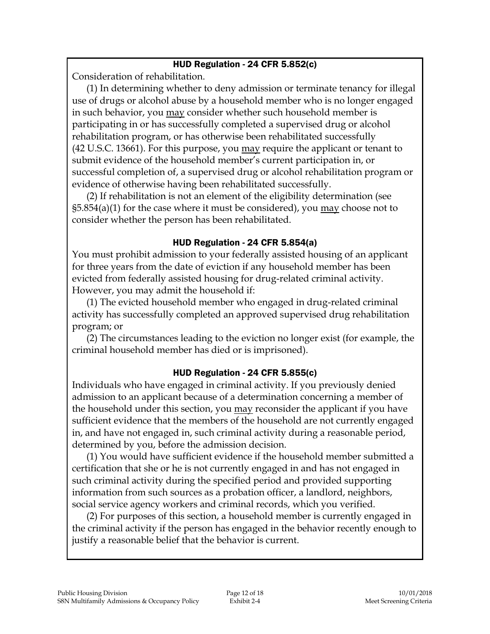#### HUD Regulation - 24 CFR 5.852(c)

Consideration of rehabilitation.

(1) In determining whether to deny admission or terminate tenancy for illegal use of drugs or alcohol abuse by a household member who is no longer engaged in such behavior, you may consider whether such household member is participating in or has successfully completed a supervised drug or alcohol rehabilitation program, or has otherwise been rehabilitated successfully (42 U.S.C. 13661). For this purpose, you <u>may</u> require the applicant or tenant to submit evidence of the household member's current participation in, or successful completion of, a supervised drug or alcohol rehabilitation program or evidence of otherwise having been rehabilitated successfully.

(2) If rehabilitation is not an element of the eligibility determination (see  $\S5.854(a)(1)$  for the case where it must be considered), you may choose not to consider whether the person has been rehabilitated.

#### HUD Regulation - 24 CFR 5.854(a)

You must prohibit admission to your federally assisted housing of an applicant for three years from the date of eviction if any household member has been evicted from federally assisted housing for drug-related criminal activity. However, you may admit the household if:

(1) The evicted household member who engaged in drug-related criminal activity has successfully completed an approved supervised drug rehabilitation program; or

(2) The circumstances leading to the eviction no longer exist (for example, the criminal household member has died or is imprisoned).

## HUD Regulation - 24 CFR 5.855(c)

Individuals who have engaged in criminal activity. If you previously denied admission to an applicant because of a determination concerning a member of the household under this section, you may reconsider the applicant if you have sufficient evidence that the members of the household are not currently engaged in, and have not engaged in, such criminal activity during a reasonable period, determined by you, before the admission decision.

(1) You would have sufficient evidence if the household member submitted a certification that she or he is not currently engaged in and has not engaged in such criminal activity during the specified period and provided supporting information from such sources as a probation officer, a landlord, neighbors, social service agency workers and criminal records, which you verified.

(2) For purposes of this section, a household member is currently engaged in the criminal activity if the person has engaged in the behavior recently enough to justify a reasonable belief that the behavior is current.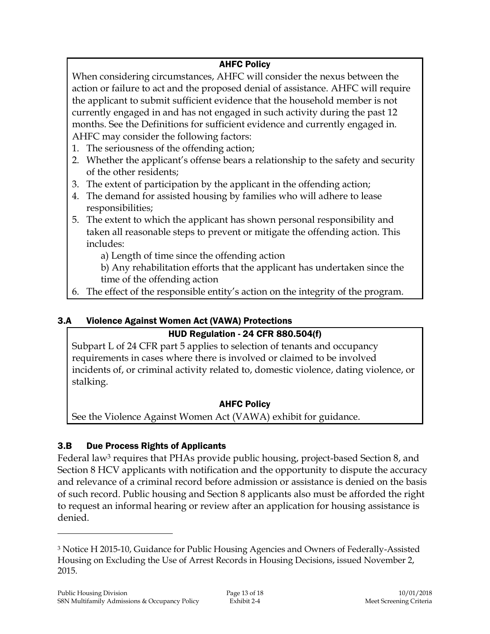## AHFC Policy

When considering circumstances, AHFC will consider the nexus between the action or failure to act and the proposed denial of assistance. AHFC will require the applicant to submit sufficient evidence that the household member is not currently engaged in and has not engaged in such activity during the past 12 months. See the Definitions for sufficient evidence and currently engaged in. AHFC may consider the following factors:

- 1. The seriousness of the offending action;
- 2. Whether the applicant's offense bears a relationship to the safety and security of the other residents;
- 3. The extent of participation by the applicant in the offending action;
- 4. The demand for assisted housing by families who will adhere to lease responsibilities;
- 5. The extent to which the applicant has shown personal responsibility and taken all reasonable steps to prevent or mitigate the offending action. This includes:

a) Length of time since the offending action

b) Any rehabilitation efforts that the applicant has undertaken since the time of the offending action

6. The effect of the responsible entity's action on the integrity of the program.

## 3.A Violence Against Women Act (VAWA) Protections

## HUD Regulation - 24 CFR 880.504(f)

Subpart L of 24 CFR part 5 applies to selection of tenants and occupancy requirements in cases where there is involved or claimed to be involved incidents of, or criminal activity related to, domestic violence, dating violence, or stalking.

## AHFC Policy

See the Violence Against Women Act (VAWA) exhibit for guidance.

## 3.B Due Process Rights of Applicants

Federal law<sup>3</sup> requires that PHAs provide public housing, project-based Section 8, and Section 8 HCV applicants with notification and the opportunity to dispute the accuracy and relevance of a criminal record before admission or assistance is denied on the basis of such record. Public housing and Section 8 applicants also must be afforded the right to request an informal hearing or review after an application for housing assistance is denied.

<sup>3</sup> Notice H 2015-10, Guidance for Public Housing Agencies and Owners of Federally-Assisted Housing on Excluding the Use of Arrest Records in Housing Decisions, issued November 2, 2015.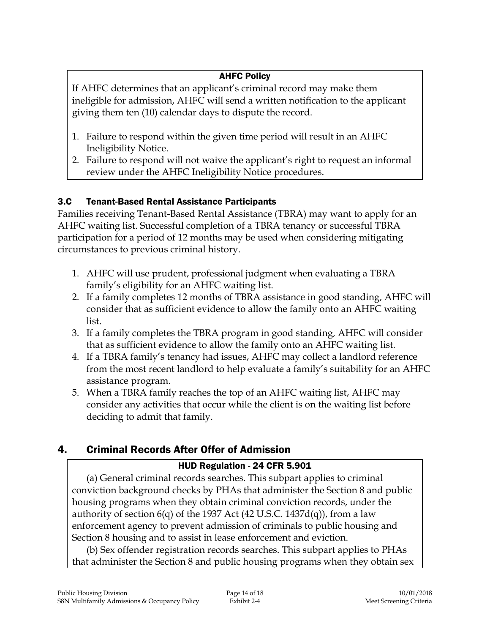## AHFC Policy

If AHFC determines that an applicant's criminal record may make them ineligible for admission, AHFC will send a written notification to the applicant giving them ten (10) calendar days to dispute the record.

- 1. Failure to respond within the given time period will result in an AHFC Ineligibility Notice.
- 2. Failure to respond will not waive the applicant's right to request an informal review under the AHFC Ineligibility Notice procedures.

## 3.C Tenant-Based Rental Assistance Participants

Families receiving Tenant-Based Rental Assistance (TBRA) may want to apply for an AHFC waiting list. Successful completion of a TBRA tenancy or successful TBRA participation for a period of 12 months may be used when considering mitigating circumstances to previous criminal history.

- 1. AHFC will use prudent, professional judgment when evaluating a TBRA family's eligibility for an AHFC waiting list.
- 2. If a family completes 12 months of TBRA assistance in good standing, AHFC will consider that as sufficient evidence to allow the family onto an AHFC waiting list.
- 3. If a family completes the TBRA program in good standing, AHFC will consider that as sufficient evidence to allow the family onto an AHFC waiting list.
- 4. If a TBRA family's tenancy had issues, AHFC may collect a landlord reference from the most recent landlord to help evaluate a family's suitability for an AHFC assistance program.
- 5. When a TBRA family reaches the top of an AHFC waiting list, AHFC may consider any activities that occur while the client is on the waiting list before deciding to admit that family.

# 4. Criminal Records After Offer of Admission

## HUD Regulation - 24 CFR 5.901

(a) General criminal records searches. This subpart applies to criminal conviction background checks by PHAs that administer the Section 8 and public housing programs when they obtain criminal conviction records, under the authority of section  $6(q)$  of the 1937 Act (42 U.S.C. 1437d(q)), from a law enforcement agency to prevent admission of criminals to public housing and Section 8 housing and to assist in lease enforcement and eviction.

(b) Sex offender registration records searches. This subpart applies to PHAs that administer the Section 8 and public housing programs when they obtain sex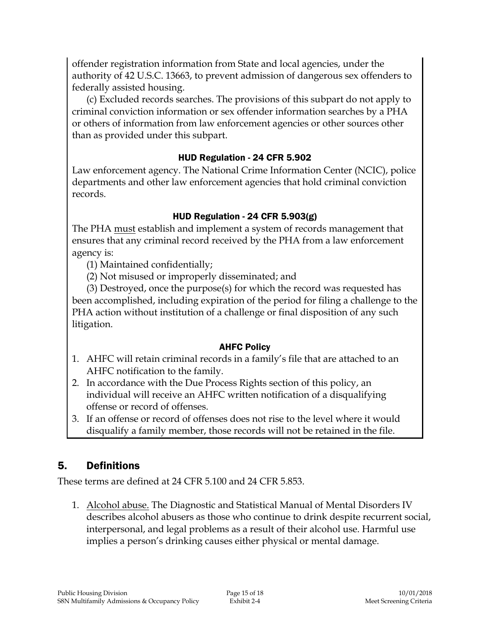offender registration information from State and local agencies, under the authority of 42 U.S.C. 13663, to prevent admission of dangerous sex offenders to federally assisted housing.

(c) Excluded records searches. The provisions of this subpart do not apply to criminal conviction information or sex offender information searches by a PHA or others of information from law enforcement agencies or other sources other than as provided under this subpart.

### HUD Regulation - 24 CFR 5.902

Law enforcement agency. The National Crime Information Center (NCIC), police departments and other law enforcement agencies that hold criminal conviction records.

## HUD Regulation - 24 CFR 5.903(g)

The PHA must establish and implement a system of records management that ensures that any criminal record received by the PHA from a law enforcement agency is:

(1) Maintained confidentially;

(2) Not misused or improperly disseminated; and

(3) Destroyed, once the purpose(s) for which the record was requested has been accomplished, including expiration of the period for filing a challenge to the PHA action without institution of a challenge or final disposition of any such litigation.

#### AHFC Policy

- 1. AHFC will retain criminal records in a family's file that are attached to an AHFC notification to the family.
- 2. In accordance with the Due Process Rights section of this policy, an individual will receive an AHFC written notification of a disqualifying offense or record of offenses.
- 3. If an offense or record of offenses does not rise to the level where it would disqualify a family member, those records will not be retained in the file.

## 5. Definitions

These terms are defined at 24 CFR 5.100 and 24 CFR 5.853.

1. Alcohol abuse. The Diagnostic and Statistical Manual of Mental Disorders IV describes alcohol abusers as those who continue to drink despite recurrent social, interpersonal, and legal problems as a result of their alcohol use. Harmful use implies a person's drinking causes either physical or mental damage.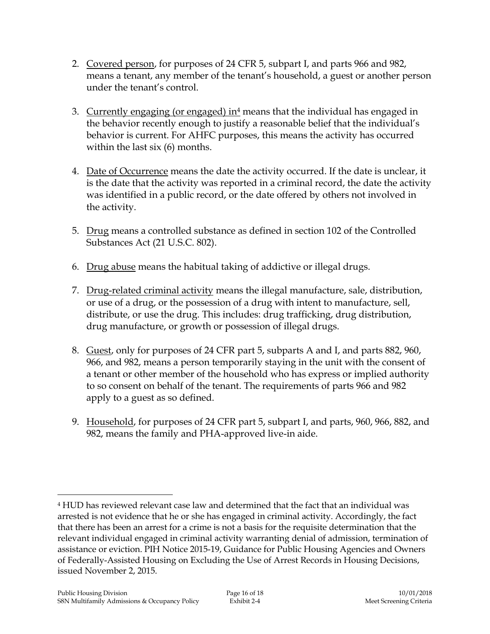- 2. Covered person, for purposes of 24 CFR 5, subpart I, and parts 966 and 982, means a tenant, any member of the tenant's household, a guest or another person under the tenant's control.
- 3. Currently engaging (or engaged) in<sup>4</sup> means that the individual has engaged in the behavior recently enough to justify a reasonable belief that the individual's behavior is current. For AHFC purposes, this means the activity has occurred within the last six (6) months.
- 4. Date of Occurrence means the date the activity occurred. If the date is unclear, it is the date that the activity was reported in a criminal record, the date the activity was identified in a public record, or the date offered by others not involved in the activity.
- 5. Drug means a controlled substance as defined in section 102 of the Controlled Substances Act (21 U.S.C. 802).
- 6. Drug abuse means the habitual taking of addictive or illegal drugs.
- 7. Drug-related criminal activity means the illegal manufacture, sale, distribution, or use of a drug, or the possession of a drug with intent to manufacture, sell, distribute, or use the drug. This includes: drug trafficking, drug distribution, drug manufacture, or growth or possession of illegal drugs.
- 8. Guest, only for purposes of 24 CFR part 5, subparts A and I, and parts 882, 960, 966, and 982, means a person temporarily staying in the unit with the consent of a tenant or other member of the household who has express or implied authority to so consent on behalf of the tenant. The requirements of parts 966 and 982 apply to a guest as so defined.
- 9. Household, for purposes of 24 CFR part 5, subpart I, and parts, 960, 966, 882, and 982, means the family and PHA-approved live-in aide.

<sup>4</sup> HUD has reviewed relevant case law and determined that the fact that an individual was arrested is not evidence that he or she has engaged in criminal activity. Accordingly, the fact that there has been an arrest for a crime is not a basis for the requisite determination that the relevant individual engaged in criminal activity warranting denial of admission, termination of assistance or eviction. PIH Notice 2015-19, Guidance for Public Housing Agencies and Owners of Federally-Assisted Housing on Excluding the Use of Arrest Records in Housing Decisions, issued November 2, 2015.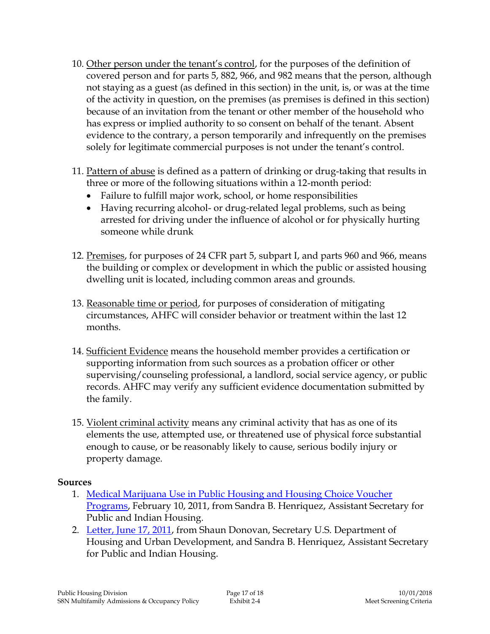- 10. Other person under the tenant's control, for the purposes of the definition of covered person and for parts 5, 882, 966, and 982 means that the person, although not staying as a guest (as defined in this section) in the unit, is, or was at the time of the activity in question, on the premises (as premises is defined in this section) because of an invitation from the tenant or other member of the household who has express or implied authority to so consent on behalf of the tenant. Absent evidence to the contrary, a person temporarily and infrequently on the premises solely for legitimate commercial purposes is not under the tenant's control.
- 11. Pattern of abuse is defined as a pattern of drinking or drug-taking that results in three or more of the following situations within a 12-month period:
	- Failure to fulfill major work, school, or home responsibilities
	- Having recurring alcohol- or drug-related legal problems, such as being arrested for driving under the influence of alcohol or for physically hurting someone while drunk
- 12. Premises, for purposes of 24 CFR part 5, subpart I, and parts 960 and 966, means the building or complex or development in which the public or assisted housing dwelling unit is located, including common areas and grounds.
- 13. Reasonable time or period, for purposes of consideration of mitigating circumstances, AHFC will consider behavior or treatment within the last 12 months.
- 14. Sufficient Evidence means the household member provides a certification or supporting information from such sources as a probation officer or other supervising/counseling professional, a landlord, social service agency, or public records. AHFC may verify any sufficient evidence documentation submitted by the family.
- 15. Violent criminal activity means any criminal activity that has as one of its elements the use, attempted use, or threatened use of physical force substantial enough to cause, or be reasonably likely to cause, serious bodily injury or property damage.

## **Sources**

- 1. [Medical Marijuana Use in Public Housing and Housing Choice Voucher](https://intranet/application/files/5215/3816/5886/2-4_Exhibit_1MarijuanaPIH_021011.PDF)  [Programs,](https://intranet/application/files/5215/3816/5886/2-4_Exhibit_1MarijuanaPIH_021011.PDF) February 10, 2011, from Sandra B. Henriquez, Assistant Secretary for Public and Indian Housing.
- 2. [Letter, June 17, 2011,](https://intranet/application/files/1115/3816/5886/2-4_Exhibit_2Reentry_061711.pdf) from Shaun Donovan, Secretary U.S. Department of Housing and Urban Development, and Sandra B. Henriquez, Assistant Secretary for Public and Indian Housing.